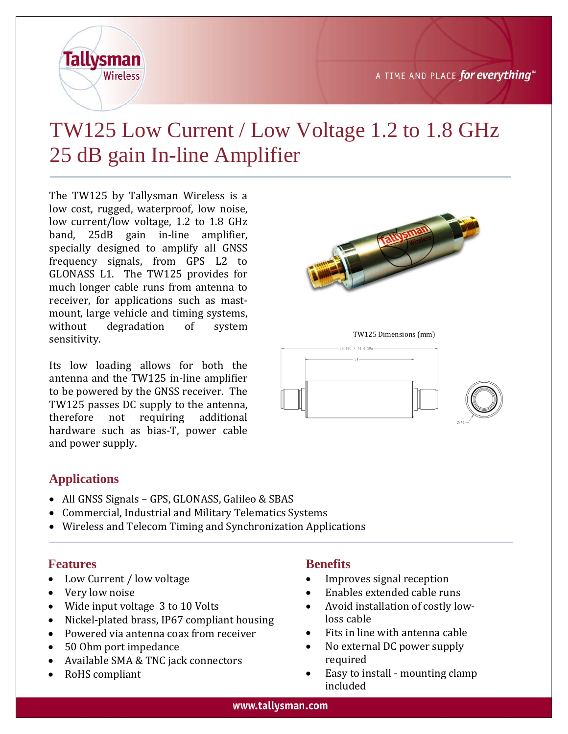

# TW125 Low Current / Low Voltage 1.2 to 1.8 GHz 25 dB gain In-line Amplifier

The TW125 by Tallysman Wireless is a low cost, rugged, waterproof, low noise, low current/low voltage, 1.2 to 1.8 GHz band, 25dB gain in-line amplifier, specially designed to amplify all GNSS frequency signals, from GPS L2 to GLONASS L1. The TW125 provides for much longer cable runs from antenna to receiver, for applications such as mastmount, large vehicle and timing systems, without degradation of system sensitivity.

Its low loading allows for both the antenna and the TW125 in-line amplifier to be powered by the GNSS receiver. The TW125 passes DC supply to the antenna, therefore not requiring additional hardware such as bias-T, power cable and power supply.

### **Applications**

- All GNSS Signals GPS, GLONASS, Galileo & SBAS
- Commercial, Industrial and Military Telematics Systems
- Wireless and Telecom Timing and Synchronization Applications

### **Features**

- Low Current / low voltage
- Very low noise
- Wide input voltage 3 to 10 Volts
- Nickel-plated brass, IP67 compliant housing
- Powered via antenna coax from receiver
- 50 Ohm port impedance
- Available SMA & TNC jack connectors
- RoHS compliant

### **Benefits**

- Improves signal reception
- Enables extended cable runs
- Avoid installation of costly lowloss cable
- Fits in line with antenna cable
- No external DC power supply required
- Easy to install mounting clamp included



TW125 Dimensions (mm)